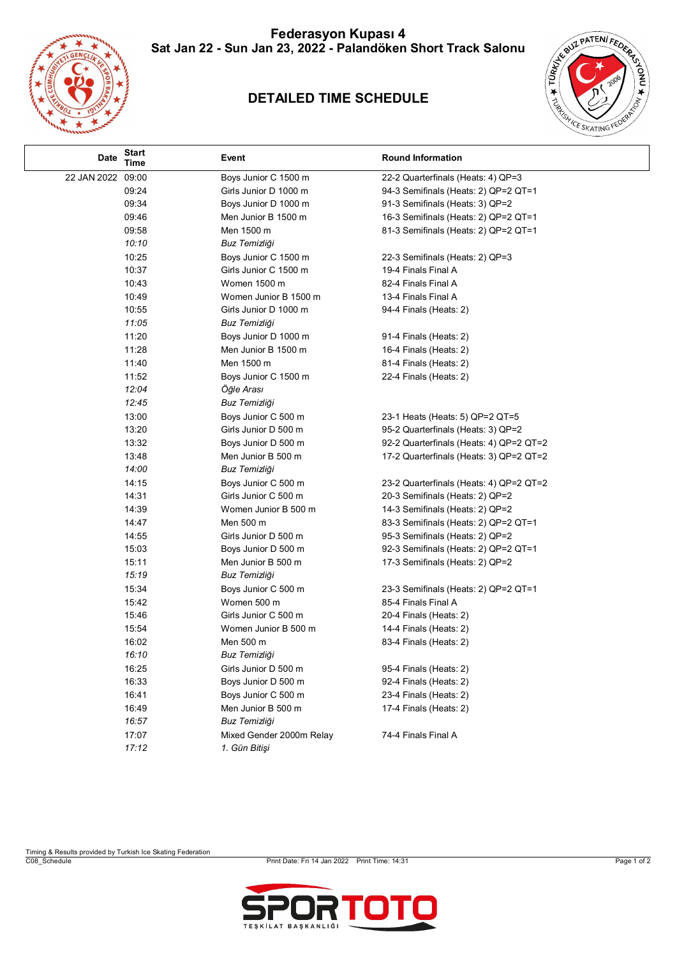**Federasyon Kupası 4 Sat Jan 22 - Sun Jan 23, 2022 - Palandöken Short Track Salonu**



## **DETAILED TIME SCHEDULE**



| Date              | <b>Start</b><br>Time | Event                    | <b>Round Information</b>                |
|-------------------|----------------------|--------------------------|-----------------------------------------|
| 22 JAN 2022 09:00 |                      | Boys Junior C 1500 m     | 22-2 Quarterfinals (Heats: 4) QP=3      |
|                   | 09:24                | Girls Junior D 1000 m    | 94-3 Semifinals (Heats: 2) QP=2 QT=1    |
|                   | 09:34                | Boys Junior D 1000 m     | 91-3 Semifinals (Heats: 3) QP=2         |
|                   | 09:46                | Men Junior B 1500 m      | 16-3 Semifinals (Heats: 2) QP=2 QT=1    |
|                   | 09:58                | Men 1500 m               | 81-3 Semifinals (Heats: 2) QP=2 QT=1    |
|                   | 10:10                | Buz Temizliği            |                                         |
|                   | 10:25                | Boys Junior C 1500 m     | 22-3 Semifinals (Heats: 2) QP=3         |
|                   | 10:37                | Girls Junior C 1500 m    | 19-4 Finals Final A                     |
|                   | 10:43                | <b>Women 1500 m</b>      | 82-4 Finals Final A                     |
|                   | 10:49                | Women Junior B 1500 m    | 13-4 Finals Final A                     |
|                   | 10:55                | Girls Junior D 1000 m    | 94-4 Finals (Heats: 2)                  |
|                   | 11:05                | Buz Temizliği            |                                         |
|                   | 11:20                | Boys Junior D 1000 m     | 91-4 Finals (Heats: 2)                  |
|                   | 11:28                | Men Junior B 1500 m      | 16-4 Finals (Heats: 2)                  |
|                   | 11:40                | Men 1500 m               | 81-4 Finals (Heats: 2)                  |
|                   | 11:52                | Boys Junior C 1500 m     | 22-4 Finals (Heats: 2)                  |
|                   | 12:04                | Öğle Arası               |                                         |
|                   | 12:45                | Buz Temizliği            |                                         |
|                   | 13:00                | Boys Junior C 500 m      | 23-1 Heats (Heats: 5) QP=2 QT=5         |
|                   | 13:20                | Girls Junior D 500 m     | 95-2 Quarterfinals (Heats: 3) QP=2      |
|                   | 13:32                | Boys Junior D 500 m      | 92-2 Quarterfinals (Heats: 4) QP=2 QT=2 |
|                   | 13:48                | Men Junior B 500 m       | 17-2 Quarterfinals (Heats: 3) QP=2 QT=2 |
|                   | 14:00                | Buz Temizliği            |                                         |
|                   | 14:15                | Boys Junior C 500 m      | 23-2 Quarterfinals (Heats: 4) QP=2 QT=2 |
|                   | 14:31                | Girls Junior C 500 m     | 20-3 Semifinals (Heats: 2) QP=2         |
|                   | 14:39                | Women Junior B 500 m     | 14-3 Semifinals (Heats: 2) QP=2         |
|                   | 14:47                | Men 500 m                | 83-3 Semifinals (Heats: 2) QP=2 QT=1    |
|                   | 14:55                | Girls Junior D 500 m     | 95-3 Semifinals (Heats: 2) QP=2         |
|                   | 15:03                | Boys Junior D 500 m      | 92-3 Semifinals (Heats: 2) QP=2 QT=1    |
|                   | 15:11                | Men Junior B 500 m       | 17-3 Semifinals (Heats: 2) QP=2         |
|                   | 15:19                | Buz Temizliği            |                                         |
|                   | 15:34                | Boys Junior C 500 m      | 23-3 Semifinals (Heats: 2) QP=2 QT=1    |
|                   | 15:42                | Women 500 m              | 85-4 Finals Final A                     |
|                   | 15:46                | Girls Junior C 500 m     | 20-4 Finals (Heats: 2)                  |
|                   | 15:54                | Women Junior B 500 m     | 14-4 Finals (Heats: 2)                  |
|                   | 16:02                | Men 500 m                | 83-4 Finals (Heats: 2)                  |
|                   | 16:10                | Buz Temizliği            |                                         |
|                   | 16:25                | Girls Junior D 500 m     | 95-4 Finals (Heats: 2)                  |
|                   | 16:33                | Boys Junior D 500 m      | 92-4 Finals (Heats: 2)                  |
|                   | 16:41                | Boys Junior C 500 m      | 23-4 Finals (Heats: 2)                  |
|                   | 16:49                | Men Junior B 500 m       | 17-4 Finals (Heats: 2)                  |
|                   | 16:57                | Buz Temizliği            |                                         |
|                   | 17:07                | Mixed Gender 2000m Relay | 74-4 Finals Final A                     |
|                   | 17:12                | 1. Gün Bitişi            |                                         |